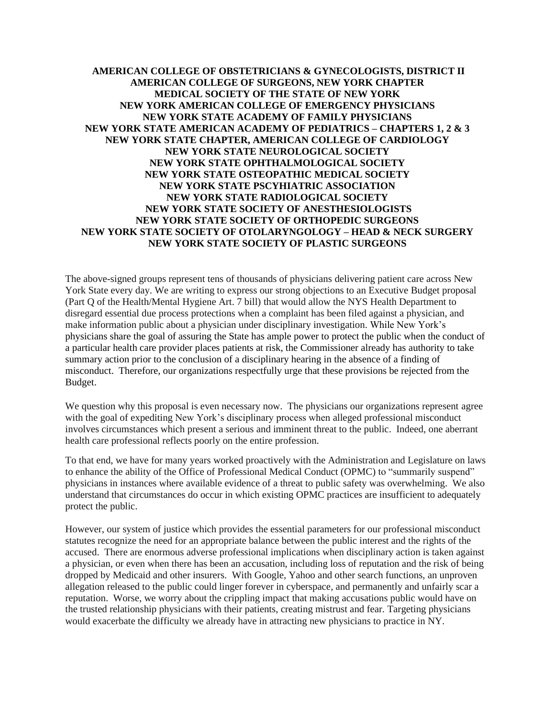**AMERICAN COLLEGE OF OBSTETRICIANS & GYNECOLOGISTS, DISTRICT II AMERICAN COLLEGE OF SURGEONS, NEW YORK CHAPTER MEDICAL SOCIETY OF THE STATE OF NEW YORK NEW YORK AMERICAN COLLEGE OF EMERGENCY PHYSICIANS NEW YORK STATE ACADEMY OF FAMILY PHYSICIANS NEW YORK STATE AMERICAN ACADEMY OF PEDIATRICS – CHAPTERS 1, 2 & 3 NEW YORK STATE CHAPTER, AMERICAN COLLEGE OF CARDIOLOGY NEW YORK STATE NEUROLOGICAL SOCIETY NEW YORK STATE OPHTHALMOLOGICAL SOCIETY NEW YORK STATE OSTEOPATHIC MEDICAL SOCIETY NEW YORK STATE PSCYHIATRIC ASSOCIATION NEW YORK STATE RADIOLOGICAL SOCIETY NEW YORK STATE SOCIETY OF ANESTHESIOLOGISTS NEW YORK STATE SOCIETY OF ORTHOPEDIC SURGEONS NEW YORK STATE SOCIETY OF OTOLARYNGOLOGY – HEAD & NECK SURGERY NEW YORK STATE SOCIETY OF PLASTIC SURGEONS**

The above-signed groups represent tens of thousands of physicians delivering patient care across New York State every day. We are writing to express our strong objections to an Executive Budget proposal (Part Q of the Health/Mental Hygiene Art. 7 bill) that would allow the NYS Health Department to disregard essential due process protections when a complaint has been filed against a physician, and make information public about a physician under disciplinary investigation. While New York's physicians share the goal of assuring the State has ample power to protect the public when the conduct of a particular health care provider places patients at risk, the Commissioner already has authority to take summary action prior to the conclusion of a disciplinary hearing in the absence of a finding of misconduct. Therefore, our organizations respectfully urge that these provisions be rejected from the Budget.

We question why this proposal is even necessary now. The physicians our organizations represent agree with the goal of expediting New York's disciplinary process when alleged professional misconduct involves circumstances which present a serious and imminent threat to the public. Indeed, one aberrant health care professional reflects poorly on the entire profession.

To that end, we have for many years worked proactively with the Administration and Legislature on laws to enhance the ability of the Office of Professional Medical Conduct (OPMC) to "summarily suspend" physicians in instances where available evidence of a threat to public safety was overwhelming. We also understand that circumstances do occur in which existing OPMC practices are insufficient to adequately protect the public.

However, our system of justice which provides the essential parameters for our professional misconduct statutes recognize the need for an appropriate balance between the public interest and the rights of the accused. There are enormous adverse professional implications when disciplinary action is taken against a physician, or even when there has been an accusation, including loss of reputation and the risk of being dropped by Medicaid and other insurers. With Google, Yahoo and other search functions, an unproven allegation released to the public could linger forever in cyberspace, and permanently and unfairly scar a reputation. Worse, we worry about the crippling impact that making accusations public would have on the trusted relationship physicians with their patients, creating mistrust and fear. Targeting physicians would exacerbate the difficulty we already have in attracting new physicians to practice in NY.